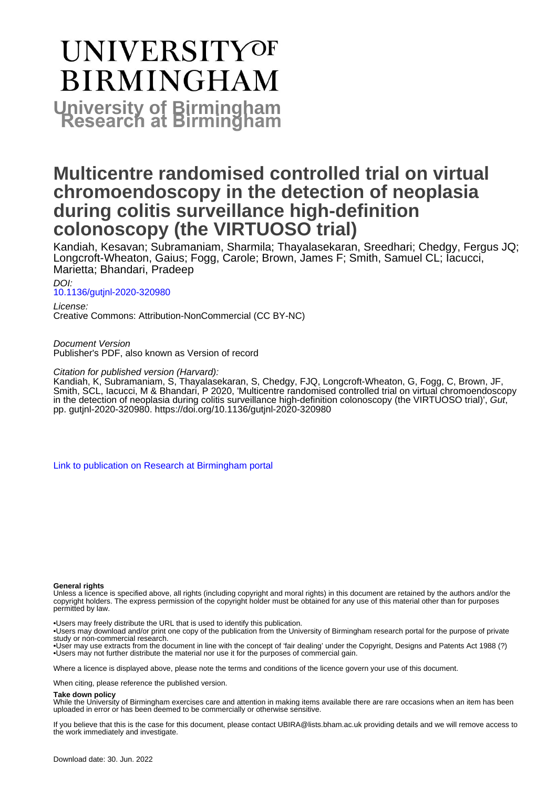# **UNIVERSITYOF BIRMINGHAM University of Birmingham**

# **Multicentre randomised controlled trial on virtual chromoendoscopy in the detection of neoplasia during colitis surveillance high-definition colonoscopy (the VIRTUOSO trial)**

Kandiah, Kesavan; Subramaniam, Sharmila; Thayalasekaran, Sreedhari; Chedgy, Fergus JQ; Longcroft-Wheaton, Gaius; Fogg, Carole; Brown, James F; Smith, Samuel CL; Iacucci, Marietta; Bhandari, Pradeep

DOI: [10.1136/gutjnl-2020-320980](https://doi.org/10.1136/gutjnl-2020-320980)

License: Creative Commons: Attribution-NonCommercial (CC BY-NC)

Document Version Publisher's PDF, also known as Version of record

# Citation for published version (Harvard):

Kandiah, K, Subramaniam, S, Thayalasekaran, S, Chedgy, FJQ, Longcroft-Wheaton, G, Fogg, C, Brown, JF, Smith, SCL, Iacucci, M & Bhandari, P 2020, 'Multicentre randomised controlled trial on virtual chromoendoscopy in the detection of neoplasia during colitis surveillance high-definition colonoscopy (the VIRTUOSO trial)', Gut, pp. gutjnl-2020-320980.<https://doi.org/10.1136/gutjnl-2020-320980>

[Link to publication on Research at Birmingham portal](https://birmingham.elsevierpure.com/en/publications/6a9b94eb-acd2-4d7a-a911-9f327e87cf54)

#### **General rights**

Unless a licence is specified above, all rights (including copyright and moral rights) in this document are retained by the authors and/or the copyright holders. The express permission of the copyright holder must be obtained for any use of this material other than for purposes permitted by law.

• Users may freely distribute the URL that is used to identify this publication.

• Users may download and/or print one copy of the publication from the University of Birmingham research portal for the purpose of private study or non-commercial research. • User may use extracts from the document in line with the concept of 'fair dealing' under the Copyright, Designs and Patents Act 1988 (?)

• Users may not further distribute the material nor use it for the purposes of commercial gain.

Where a licence is displayed above, please note the terms and conditions of the licence govern your use of this document.

When citing, please reference the published version.

#### **Take down policy**

While the University of Birmingham exercises care and attention in making items available there are rare occasions when an item has been uploaded in error or has been deemed to be commercially or otherwise sensitive.

If you believe that this is the case for this document, please contact UBIRA@lists.bham.ac.uk providing details and we will remove access to the work immediately and investigate.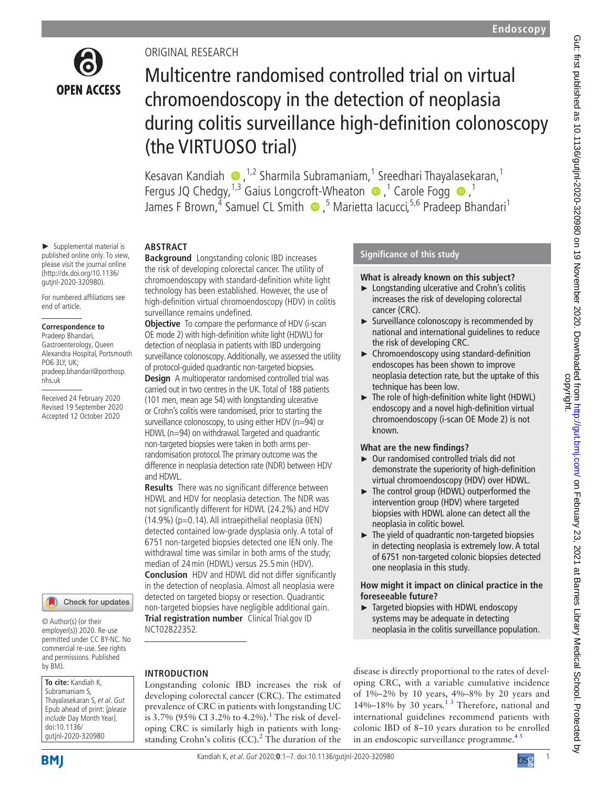

# ORIGINAL RESEARCH

# Multicentre randomised controlled trial on virtual chromoendoscopy in the detection of neoplasia during colitis surveillance high-definition colonoscopy (the VIRTUOSO trial)

KesavanKandiah  $\bullet$ ,<sup>1,2</sup> Sharmila Subramaniam,<sup>1</sup> Sreedhari Thayalasekaran,<sup>1</sup> FergusJQ Chedgy,  $^{1,3}$  Gaius Longcroft-Wheaton  $\bullet$  ,  $^1$  Carole Fogg  $\bullet$  ,  $^1$ JamesF Brown,<sup>4</sup> Samuel CL Smith  $\bullet$ ,<sup>5</sup> Marietta Iacucci,<sup>5,6</sup> Pradeep Bhandari<sup>1</sup>

#### ► Supplemental material is published online only. To view, please visit the journal online [\(http://dx.doi.org/10.1136/](http://dx.doi.org/10.1136/bmjpo-2020-000755).) [gutjnl-2020-320980\)](http://dx.doi.org/10.1136/bmjpo-2020-000755).).

For numbered affiliations see end of article.

# **Correspondence to**

Pradeep Bhandari, Gastroenterology, Queen Alexandra Hospital, Portsmouth PO6 3LY, UK; pradeep.bhandari@porthosp. nhs.uk

Received 24 February 2020 Revised 19 September 2020 Accepted 12 October 2020

Check for updates

© Author(s) (or their employer(s)) 2020. Re-use permitted under CC BY-NC. No commercial re-use. See rights and permissions. Published by BMJ.

**To cite:** Kandiah K, Subramaniam S, Thayalasekaran S, et al. Gut Epub ahead of print: [please include Day Month Year]. doi:10.1136/ gutjnl-2020-320980



# **ABSTRACT**

**Background** Longstanding colonic IBD increases the risk of developing colorectal cancer. The utility of chromoendoscopy with standard-definition white light technology has been established. However, the use of high-definition virtual chromoendoscopy (HDV) in colitis surveillance remains undefined.

**Objective** To compare the performance of HDV (i-scan OE mode 2) with high-definition white light (HDWL) for detection of neoplasia in patients with IBD undergoing surveillance colonoscopy. Additionally, we assessed the utility of protocol-guided quadrantic non-targeted biopsies.

**Design** A multioperator randomised controlled trial was carried out in two centres in the UK. Total of 188 patients (101 men, mean age 54) with longstanding ulcerative or Crohn's colitis were randomised, prior to starting the surveillance colonoscopy, to using either HDV (n=94) or HDWL (n=94) on withdrawal. Targeted and quadrantic non-targeted biopsies were taken in both arms perrandomisation protocol. The primary outcome was the difference in neoplasia detection rate (NDR) between HDV and HDWL.

**Results** There was no significant difference between HDWL and HDV for neoplasia detection. The NDR was not significantly different for HDWL (24.2%) and HDV (14.9%) (p=0.14). All intraepithelial neoplasia (IEN) detected contained low-grade dysplasia only. A total of 6751 non-targeted biopsies detected one IEN only. The withdrawal time was similar in both arms of the study; median of 24min (HDWL) versus 25.5min (HDV). **Conclusion** HDV and HDWL did not differ significantly in the detection of neoplasia. Almost all neoplasia were detected on targeted biopsy or resection. Quadrantic non-targeted biopsies have negligible additional gain. **Trial registration number** Clinical Trial.gov ID [NCT02822352.](NCT02822352)

# **INTRODUCTION**

Longstanding colonic IBD increases the risk of developing colorectal cancer (CRC). The estimated prevalence of CRC in patients with longstanding UC is 3.7% (95% CI 3.2% to 4.2%).<sup>[1](#page-6-0)</sup> The risk of developing CRC is similarly high in patients with longstanding Crohn's colitis  $(CC)$ .<sup>2</sup> The duration of the

# **Significance of this study**

#### **What is already known on this subject?**

- ► Longstanding ulcerative and Crohn's colitis increases the risk of developing colorectal cancer (CRC).
- ► Surveillance colonoscopy is recommended by national and international guidelines to reduce the risk of developing CRC.
- ► Chromoendoscopy using standard-definition endoscopes has been shown to improve neoplasia detection rate, but the uptake of this technique has been low.
- ► The role of high-definition white light (HDWL) endoscopy and a novel high-definition virtual chromoendoscopy (i-scan OE Mode 2) is not known.

# **What are the new findings?**

- ► Our randomised controlled trials did not demonstrate the superiority of high-definition virtual chromoendoscopy (HDV) over HDWL.
- ► The control group (HDWL) outperformed the intervention group (HDV) where targeted biopsies with HDWL alone can detect all the neoplasia in colitic bowel.
- $\blacktriangleright$  The yield of quadrantic non-targeted biopsies in detecting neoplasia is extremely low. A total of 6751 non-targeted colonic biopsies detected one neoplasia in this study.

# **How might it impact on clinical practice in the foreseeable future?**

► Targeted biopsies with HDWL endoscopy systems may be adequate in detecting neoplasia in the colitis surveillance population.

disease is directly proportional to the rates of developing CRC, with a variable cumulative incidence of 1%–2% by 10 years, 4%–8% by 20 years and 14%–18% by 30 years. $13$  Therefore, national and international guidelines recommend patients with colonic IBD of 8–10 years duration to be enrolled in an endoscopic surveillance programme.<sup>45</sup>

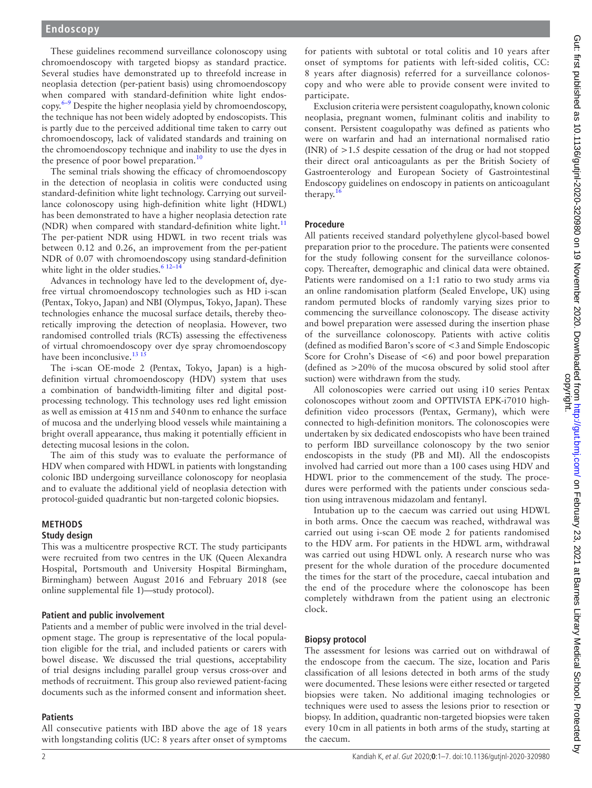These guidelines recommend surveillance colonoscopy using chromoendoscopy with targeted biopsy as standard practice. Several studies have demonstrated up to threefold increase in neoplasia detection (per-patient basis) using chromoendoscopy when compared with standard-definition white light endos $copy.<sup>6–9</sup>$  Despite the higher neoplasia yield by chromoendoscopy, the technique has not been widely adopted by endoscopists. This is partly due to the perceived additional time taken to carry out chromoendoscopy, lack of validated standards and training on the chromoendoscopy technique and inability to use the dyes in the presence of poor bowel preparation.<sup>10</sup>

The seminal trials showing the efficacy of chromoendoscopy in the detection of neoplasia in colitis were conducted using standard-definition white light technology. Carrying out surveillance colonoscopy using high-definition white light (HDWL) has been demonstrated to have a higher neoplasia detection rate (NDR) when compared with standard-definition white light.<sup>[11](#page-6-5)</sup> The per-patient NDR using HDWL in two recent trials was between 0.12 and 0.26, an improvement from the per-patient NDR of 0.07 with chromoendoscopy using standard-definition white light in the older studies. $612-14$ 

Advances in technology have led to the development of, dyefree virtual chromoendoscopy technologies such as HD i-scan (Pentax, Tokyo, Japan) and NBI (Olympus, Tokyo, Japan). These technologies enhance the mucosal surface details, thereby theoretically improving the detection of neoplasia. However, two randomised controlled trials (RCTs) assessing the effectiveness of virtual chromoendoscopy over dye spray chromoendoscopy have been inconclusive.<sup>[13 15](#page-6-6)</sup>

The i-scan OE-mode 2 (Pentax, Tokyo, Japan) is a highdefinition virtual chromoendoscopy (HDV) system that uses a combination of bandwidth-limiting filter and digital postprocessing technology. This technology uses red light emission as well as emission at 415nm and 540nm to enhance the surface of mucosa and the underlying blood vessels while maintaining a bright overall appearance, thus making it potentially efficient in detecting mucosal lesions in the colon.

The aim of this study was to evaluate the performance of HDV when compared with HDWL in patients with longstanding colonic IBD undergoing surveillance colonoscopy for neoplasia and to evaluate the additional yield of neoplasia detection with protocol-guided quadrantic but non-targeted colonic biopsies.

# **METHODS**

# **Study design**

This was a multicentre prospective RCT. The study participants were recruited from two centres in the UK (Queen Alexandra Hospital, Portsmouth and University Hospital Birmingham, Birmingham) between August 2016 and February 2018 (see [online supplemental file 1](https://dx.doi.org/10.1136/gutjnl-2020-320980))—study protocol).

#### **Patient and public involvement**

Patients and a member of public were involved in the trial development stage. The group is representative of the local population eligible for the trial, and included patients or carers with bowel disease. We discussed the trial questions, acceptability of trial designs including parallel group versus cross-over and methods of recruitment. This group also reviewed patient-facing documents such as the informed consent and information sheet.

#### **Patients**

All consecutive patients with IBD above the age of 18 years with longstanding colitis (UC: 8 years after onset of symptoms

for patients with subtotal or total colitis and 10 years after onset of symptoms for patients with left-sided colitis, CC: 8 years after diagnosis) referred for a surveillance colonoscopy and who were able to provide consent were invited to participate.

Exclusion criteria were persistent coagulopathy, known colonic neoplasia, pregnant women, fulminant colitis and inability to consent. Persistent coagulopathy was defined as patients who were on warfarin and had an international normalised ratio (INR) of >1.5 despite cessation of the drug or had not stopped their direct oral anticoagulants as per the British Society of Gastroenterology and European Society of Gastrointestinal Endoscopy guidelines on endoscopy in patients on anticoagulant therapy.<sup>16</sup>

#### **Procedure**

All patients received standard polyethylene glycol-based bowel preparation prior to the procedure. The patients were consented for the study following consent for the surveillance colonoscopy. Thereafter, demographic and clinical data were obtained. Patients were randomised on a 1:1 ratio to two study arms via an online randomisation platform (Sealed Envelope, UK) using random permuted blocks of randomly varying sizes prior to commencing the surveillance colonoscopy. The disease activity and bowel preparation were assessed during the insertion phase of the surveillance colonoscopy. Patients with active colitis (defined as modified Baron's score of <3and Simple Endoscopic Score for Crohn's Disease of  $\lt 6$ ) and poor bowel preparation (defined as >20% of the mucosa obscured by solid stool after suction) were withdrawn from the study.

All colonoscopies were carried out using i10 series Pentax colonoscopes without zoom and OPTIVISTA EPK-i7010 highdefinition video processors (Pentax, Germany), which were connected to high-definition monitors. The colonoscopies were undertaken by six dedicated endoscopists who have been trained to perform IBD surveillance colonoscopy by the two senior endoscopists in the study (PB and MI). All the endoscopists involved had carried out more than a 100 cases using HDV and HDWL prior to the commencement of the study. The procedures were performed with the patients under conscious sedation using intravenous midazolam and fentanyl.

Intubation up to the caecum was carried out using HDWL in both arms. Once the caecum was reached, withdrawal was carried out using i-scan OE mode 2 for patients randomised to the HDV arm. For patients in the HDWL arm, withdrawal was carried out using HDWL only. A research nurse who was present for the whole duration of the procedure documented the times for the start of the procedure, caecal intubation and the end of the procedure where the colonoscope has been completely withdrawn from the patient using an electronic clock.

#### **Biopsy protocol**

The assessment for lesions was carried out on withdrawal of the endoscope from the caecum. The size, location and Paris classification of all lesions detected in both arms of the study were documented. These lesions were either resected or targeted biopsies were taken. No additional imaging technologies or techniques were used to assess the lesions prior to resection or biopsy. In addition, quadrantic non-targeted biopsies were taken every 10cm in all patients in both arms of the study, starting at the caecum.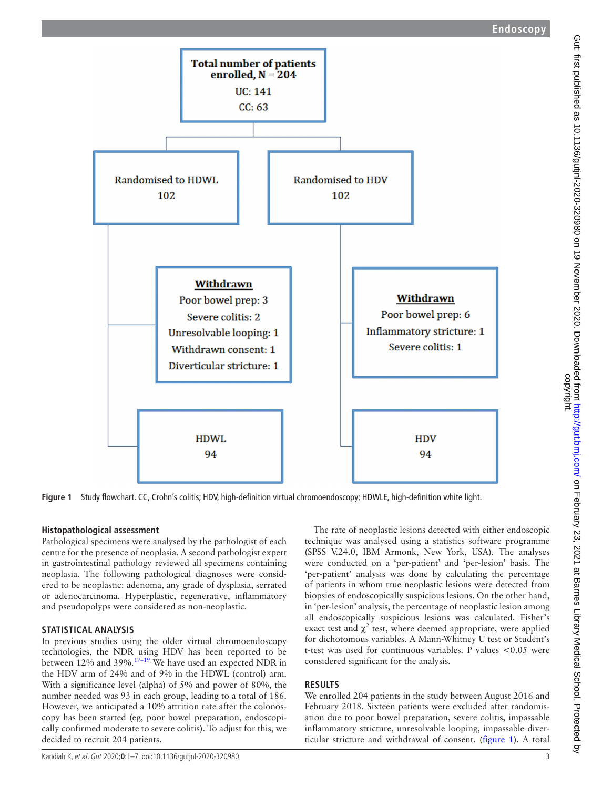# **Endoscopy**



<span id="page-3-0"></span>**Figure 1** Study flowchart. CC, Crohn's colitis; HDV, high-definition virtual chromoendoscopy; HDWLE, high-definition white light.

# **Histopathological assessment**

Pathological specimens were analysed by the pathologist of each centre for the presence of neoplasia. A second pathologist expert in gastrointestinal pathology reviewed all specimens containing neoplasia. The following pathological diagnoses were considered to be neoplastic: adenoma, any grade of dysplasia, serrated or adenocarcinoma. Hyperplastic, regenerative, inflammatory and pseudopolyps were considered as non-neoplastic.

#### **STATISTICAL ANALYSIS**

In previous studies using the older virtual chromoendoscopy technologies, the NDR using HDV has been reported to be between  $12\%$  and  $39\%$ .<sup>[17–19](#page-7-0)</sup> We have used an expected NDR in the HDV arm of 24% and of 9% in the HDWL (control) arm. With a significance level (alpha) of 5% and power of 80%, the number needed was 93 in each group, leading to a total of 186. However, we anticipated a 10% attrition rate after the colonoscopy has been started (eg, poor bowel preparation, endoscopically confirmed moderate to severe colitis). To adjust for this, we decided to recruit 204 patients.

The rate of neoplastic lesions detected with either endoscopic technique was analysed using a statistics software programme (SPSS V.24.0, IBM Armonk, New York, USA). The analyses were conducted on a 'per-patient' and 'per-lesion' basis. The 'per-patient' analysis was done by calculating the percentage of patients in whom true neoplastic lesions were detected from biopsies of endoscopically suspicious lesions. On the other hand, in 'per-lesion' analysis, the percentage of neoplastic lesion among all endoscopically suspicious lesions was calculated. Fisher's exact test and  $\chi^2$  test, where deemed appropriate, were applied for dichotomous variables. A Mann-Whitney U test or Student's t-test was used for continuous variables. P values <0.05 were considered significant for the analysis.

# **RESULTS**

We enrolled 204 patients in the study between August 2016 and February 2018. Sixteen patients were excluded after randomisation due to poor bowel preparation, severe colitis, impassable inflammatory stricture, unresolvable looping, impassable diverticular stricture and withdrawal of consent. ([figure](#page-3-0) 1). A total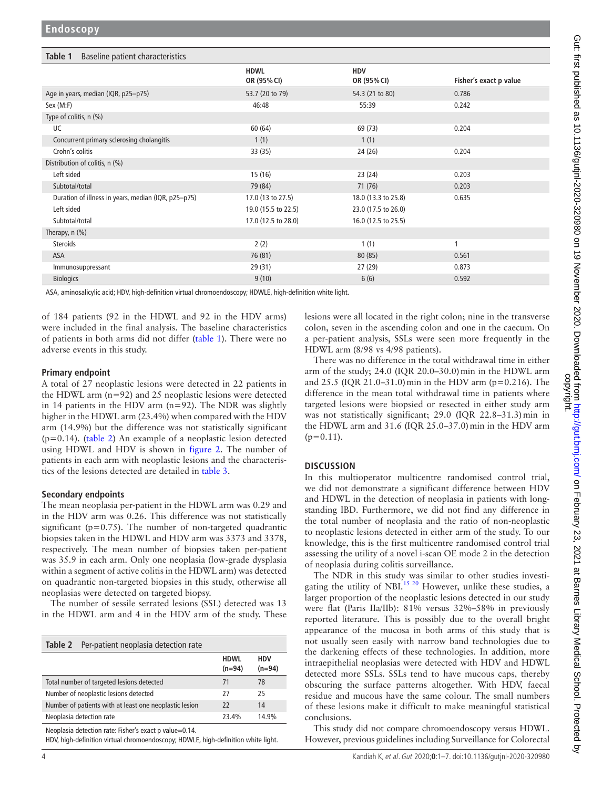<span id="page-4-0"></span>

| Baseline patient characteristics<br>Table 1         |                            |                           |                        |  |  |
|-----------------------------------------------------|----------------------------|---------------------------|------------------------|--|--|
|                                                     | <b>HDWL</b><br>OR (95% CI) | <b>HDV</b><br>OR (95% CI) | Fisher's exact p value |  |  |
| Age in years, median (IQR, p25-p75)                 | 53.7 (20 to 79)            | 54.3 (21 to 80)           | 0.786                  |  |  |
| Sex (M:F)                                           | 46:48                      | 55:39                     | 0.242                  |  |  |
| Type of colitis, n (%)                              |                            |                           |                        |  |  |
| UC                                                  | 60 (64)                    | 69 (73)                   | 0.204                  |  |  |
| Concurrent primary sclerosing cholangitis           | 1(1)                       | 1(1)                      |                        |  |  |
| Crohn's colitis                                     | 33 (35)                    | 24 (26)                   | 0.204                  |  |  |
| Distribution of colitis, n (%)                      |                            |                           |                        |  |  |
| Left sided                                          | 15(16)                     | 23 (24)                   | 0.203                  |  |  |
| Subtotal/total                                      | 79 (84)                    | 71 (76)                   | 0.203                  |  |  |
| Duration of illness in years, median (IQR, p25-p75) | 17.0 (13 to 27.5)          | 18.0 (13.3 to 25.8)       | 0.635                  |  |  |
| Left sided                                          | 19.0 (15.5 to 22.5)        | 23.0 (17.5 to 26.0)       |                        |  |  |
| Subtotal/total                                      | 17.0 (12.5 to 28.0)        | 16.0 (12.5 to 25.5)       |                        |  |  |
| Therapy, $n$ $(\%)$                                 |                            |                           |                        |  |  |
| <b>Steroids</b>                                     | 2(2)                       | 1(1)                      | 1                      |  |  |
| ASA                                                 | 76 (81)                    | 80(85)                    | 0.561                  |  |  |
| Immunosuppressant                                   | 29 (31)                    | 27 (29)                   | 0.873                  |  |  |
| <b>Biologics</b>                                    | 9(10)                      | 6(6)                      | 0.592                  |  |  |

ASA, aminosalicylic acid; HDV, high-definition virtual chromoendoscopy; HDWLE, high-definition white light.

of 184 patients (92 in the HDWL and 92 in the HDV arms) were included in the final analysis. The baseline characteristics of patients in both arms did not differ ([table](#page-4-0) 1). There were no adverse events in this study.

#### **Primary endpoint**

A total of 27 neoplastic lesions were detected in 22 patients in the HDWL arm (n=92) and 25 neoplastic lesions were detected in 14 patients in the HDV arm  $(n=92)$ . The NDR was slightly higher in the HDWL arm (23.4%) when compared with the HDV arm (14.9%) but the difference was not statistically significant  $(p=0.14)$ . ([table](#page-4-1) 2) An example of a neoplastic lesion detected using HDWL and HDV is shown in [figure](#page-5-0) 2. The number of patients in each arm with neoplastic lesions and the characteristics of the lesions detected are detailed in [table](#page-5-1) 3.

#### **Secondary endpoints**

The mean neoplasia per-patient in the HDWL arm was 0.29 and in the HDV arm was 0.26. This difference was not statistically significant ( $p=0.75$ ). The number of non-targeted quadrantic biopsies taken in the HDWL and HDV arm was 3373 and 3378, respectively. The mean number of biopsies taken per-patient was 35.9 in each arm. Only one neoplasia (low-grade dysplasia within a segment of active colitis in the HDWL arm) was detected on quadrantic non-targeted biopsies in this study, otherwise all neoplasias were detected on targeted biopsy.

The number of sessile serrated lesions (SSL) detected was 13 in the HDWL arm and 4 in the HDV arm of the study. These

<span id="page-4-1"></span>

| Table 2                                                | Per-patient neoplasia detection rate      |                         |                        |
|--------------------------------------------------------|-------------------------------------------|-------------------------|------------------------|
|                                                        |                                           | <b>HDWL</b><br>$(n=94)$ | <b>HDV</b><br>$(n=94)$ |
|                                                        | Total number of targeted lesions detected | 71                      | 78                     |
| Number of neoplastic lesions detected                  |                                           | 27                      | 25                     |
| Number of patients with at least one neoplastic lesion |                                           | 22                      | 14                     |
| Neoplasia detection rate                               |                                           | 23.4%                   | 14.9%                  |

Neoplasia detection rate: Fisher's exact p value=0.14.

HDV, high-definition virtual chromoendoscopy; HDWLE, high-definition white light.

lesions were all located in the right colon; nine in the transverse colon, seven in the ascending colon and one in the caecum. On a per-patient analysis, SSLs were seen more frequently in the HDWL arm (8/98 vs 4/98 patients).

There was no difference in the total withdrawal time in either arm of the study; 24.0 (IQR 20.0-30.0) min in the HDWL arm and 25.5 (IQR 21.0–31.0) min in the HDV arm ( $p=0.216$ ). The difference in the mean total withdrawal time in patients where targeted lesions were biopsied or resected in either study arm was not statistically significant; 29.0 (IQR 22.8–31.3)min in the HDWL arm and 31.6 (IQR 25.0-37.0) min in the HDV arm  $(p=0.11)$ .

# **DISCUSSION**

In this multioperator multicentre randomised control trial, we did not demonstrate a significant difference between HDV and HDWL in the detection of neoplasia in patients with longstanding IBD. Furthermore, we did not find any difference in the total number of neoplasia and the ratio of non-neoplastic to neoplastic lesions detected in either arm of the study. To our knowledge, this is the first multicentre randomised control trial assessing the utility of a novel i-scan OE mode 2 in the detection of neoplasia during colitis surveillance.

The NDR in this study was similar to other studies investi-gating the utility of NBI.<sup>[15 20](#page-6-8)</sup> However, unlike these studies, a larger proportion of the neoplastic lesions detected in our study were flat (Paris IIa/IIb): 81% versus 32%–58% in previously reported literature. This is possibly due to the overall bright appearance of the mucosa in both arms of this study that is not usually seen easily with narrow band technologies due to the darkening effects of these technologies. In addition, more intraepithelial neoplasias were detected with HDV and HDWL detected more SSLs. SSLs tend to have mucous caps, thereby obscuring the surface patterns altogether. With HDV, faecal residue and mucous have the same colour. The small numbers of these lesions make it difficult to make meaningful statistical conclusions.

This study did not compare chromoendoscopy versus HDWL. However, previous guidelines including Surveillance for Colorectal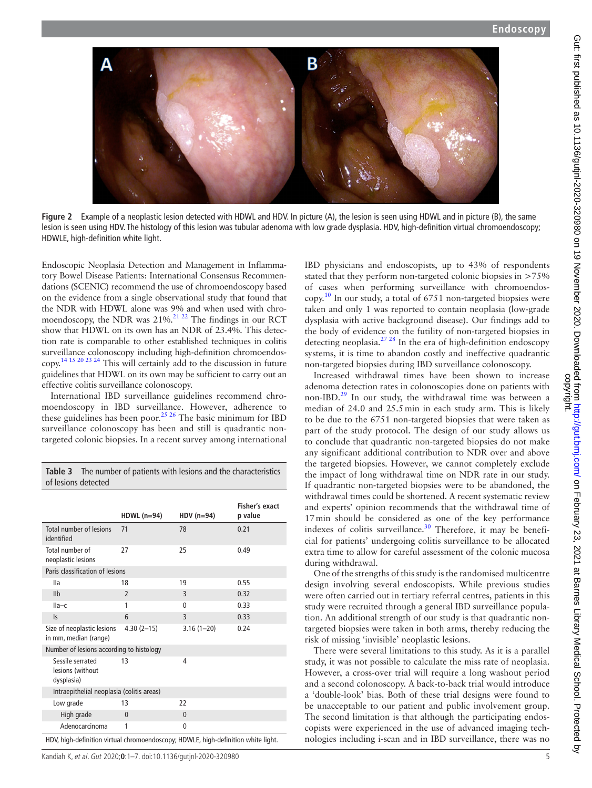

<span id="page-5-0"></span>**Figure 2** Example of a neoplastic lesion detected with HDWL and HDV. In picture (A), the lesion is seen using HDWL and in picture (B), the same lesion is seen using HDV. The histology of this lesion was tubular adenoma with low grade dysplasia. HDV, high-definition virtual chromoendoscopy; HDWLE, high-definition white light.

Endoscopic Neoplasia Detection and Management in Inflammatory Bowel Disease Patients: International Consensus Recommendations (SCENIC) recommend the use of chromoendoscopy based on the evidence from a single observational study that found that the NDR with HDWL alone was 9% and when used with chromoendoscopy, the NDR was  $21\%$ .<sup>21 22</sup> The findings in our RCT show that HDWL on its own has an NDR of 23.4%. This detection rate is comparable to other established techniques in colitis surveillance colonoscopy including high-definition chromoendoscopy[.14 15 20 23 24](#page-6-9) This will certainly add to the discussion in future guidelines that HDWL on its own may be sufficient to carry out an effective colitis surveillance colonoscopy.

International IBD surveillance guidelines recommend chromoendoscopy in IBD surveillance. However, adherence to these guidelines has been poor.<sup>25 26</sup> The basic minimum for IBD surveillance colonoscopy has been and still is quadrantic nontargeted colonic biopsies. In a recent survey among international

<span id="page-5-1"></span>**Table 3** The number of patients with lesions and the characteristics of lesions detected

|                                                                                   | $HDWL(n=94)$   | $HDV(n=94)$    | <b>Fisher's exact</b><br>p value |  |  |  |
|-----------------------------------------------------------------------------------|----------------|----------------|----------------------------------|--|--|--|
| Total number of lesions<br>identified                                             | 71             | 78             | 0.21                             |  |  |  |
| Total number of<br>neoplastic lesions                                             | 27             | 25             | 0.49                             |  |  |  |
| Paris classification of lesions                                                   |                |                |                                  |  |  |  |
| lla                                                                               | 18             | 19             | 0.55                             |  |  |  |
| I <sub>l</sub>                                                                    | $\overline{2}$ | 3              | 0.32                             |  |  |  |
| $IIa-c$                                                                           | 1              | $\Omega$       | 0.33                             |  |  |  |
| ls.                                                                               | 6              | $\overline{3}$ | 0.33                             |  |  |  |
| Size of neoplastic lesions<br>in mm, median (range)                               | $4.30(2-15)$   | $3.16(1 - 20)$ | 0.24                             |  |  |  |
| Number of lesions according to histology                                          |                |                |                                  |  |  |  |
| Sessile serrated<br>lesions (without<br>dysplasia)                                | 13             | 4              |                                  |  |  |  |
| Intraepithelial neoplasia (colitis areas)                                         |                |                |                                  |  |  |  |
| Low grade                                                                         | 13             | 22             |                                  |  |  |  |
| High grade                                                                        | $\mathbf{0}$   | $\mathbf{0}$   |                                  |  |  |  |
| Adenocarcinoma                                                                    | 1              | 0              |                                  |  |  |  |
| HDV, high-definition virtual chromoendoscopy; HDWLE, high-definition white light. |                |                |                                  |  |  |  |

IBD physicians and endoscopists, up to 43% of respondents stated that they perform non-targeted colonic biopsies in >75% of cases when performing surveillance with chromoendos-copy.<sup>[10](#page-6-4)</sup> In our study, a total of  $6751$  non-targeted biopsies were taken and only 1 was reported to contain neoplasia (low-grade dysplasia with active background disease). Our findings add to the body of evidence on the futility of non-targeted biopsies in detecting neoplasia[.27 28](#page-7-3) In the era of high-definition endoscopy systems, it is time to abandon costly and ineffective quadrantic non-targeted biopsies during IBD surveillance colonoscopy.

Increased withdrawal times have been shown to increase adenoma detection rates in colonoscopies done on patients with non-IBD.[29](#page-7-4) In our study, the withdrawal time was between a median of 24.0 and 25.5min in each study arm. This is likely to be due to the 6751 non-targeted biopsies that were taken as part of the study protocol. The design of our study allows us to conclude that quadrantic non-targeted biopsies do not make any significant additional contribution to NDR over and above the targeted biopsies. However, we cannot completely exclude the impact of long withdrawal time on NDR rate in our study. If quadrantic non-targeted biopsies were to be abandoned, the withdrawal times could be shortened. A recent systematic review and experts' opinion recommends that the withdrawal time of 17min should be considered as one of the key performance indexes of colitis surveillance.<sup>30</sup> Therefore, it may be beneficial for patients' undergoing colitis surveillance to be allocated extra time to allow for careful assessment of the colonic mucosa during withdrawal.

One of the strengths of this study is the randomised multicentre design involving several endoscopists. While previous studies were often carried out in tertiary referral centres, patients in this study were recruited through a general IBD surveillance population. An additional strength of our study is that quadrantic nontargeted biopsies were taken in both arms, thereby reducing the risk of missing 'invisible' neoplastic lesions.

There were several limitations to this study. As it is a parallel study, it was not possible to calculate the miss rate of neoplasia. However, a cross-over trial will require a long washout period and a second colonoscopy. A back-to-back trial would introduce a 'double-look' bias. Both of these trial designs were found to be unacceptable to our patient and public involvement group. The second limitation is that although the participating endoscopists were experienced in the use of advanced imaging technologies including i-scan and in IBD surveillance, there was no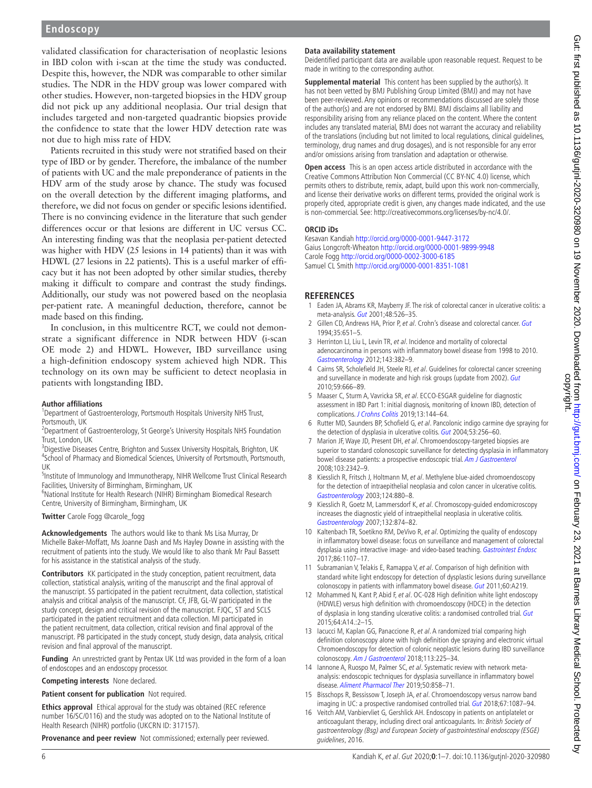# **Endoscopy**

validated classification for characterisation of neoplastic lesions in IBD colon with i-scan at the time the study was conducted. Despite this, however, the NDR was comparable to other similar studies. The NDR in the HDV group was lower compared with other studies. However, non-targeted biopsies in the HDV group did not pick up any additional neoplasia. Our trial design that includes targeted and non-targeted quadrantic biopsies provide the confidence to state that the lower HDV detection rate was not due to high miss rate of HDV.

Patients recruited in this study were not stratified based on their type of IBD or by gender. Therefore, the imbalance of the number of patients with UC and the male preponderance of patients in the HDV arm of the study arose by chance. The study was focused on the overall detection by the different imaging platforms, and therefore, we did not focus on gender or specific lesions identified. There is no convincing evidence in the literature that such gender differences occur or that lesions are different in UC versus CC. An interesting finding was that the neoplasia per-patient detected was higher with HDV (25 lesions in 14 patients) than it was with HDWL (27 lesions in 22 patients). This is a useful marker of efficacy but it has not been adopted by other similar studies, thereby making it difficult to compare and contrast the study findings. Additionally, our study was not powered based on the neoplasia per-patient rate. A meaningful deduction, therefore, cannot be made based on this finding.

In conclusion, in this multicentre RCT, we could not demonstrate a significant difference in NDR between HDV (i-scan OE mode 2) and HDWL. However, IBD surveillance using a high-definition endoscopy system achieved high NDR. This technology on its own may be sufficient to detect neoplasia in patients with longstanding IBD.

#### **Author affiliations**

<sup>1</sup>Department of Gastroenterology, Portsmouth Hospitals University NHS Trust, Portsmouth, UK

<sup>2</sup>Department of Gastroenterology, St George's University Hospitals NHS Foundation Trust, London, UK

<sup>3</sup>Digestive Diseases Centre, Brighton and Sussex University Hospitals, Brighton, UK 4 School of Pharmacy and Biomedical Sciences, University of Portsmouth, Portsmouth,

UK 5 Institute of Immunology and Immunotherapy, NIHR Wellcome Trust Clinical Research Facilities, University of Birmingham, Birmingham, UK

6 National Institute for Health Research (NIHR) Birmingham Biomedical Research Centre, University of Birmingham, Birmingham, UK

**Twitter** Carole Fogg [@carole\\_fogg](https://twitter.com/carole_fogg)

**Acknowledgements** The authors would like to thank Ms Lisa Murray, Dr Michelle Baker-Moffatt, Ms Joanne Dash and Ms Hayley Downe in assisting with the recruitment of patients into the study. We would like to also thank Mr Paul Bassett for his assistance in the statistical analysis of the study.

**Contributors** KK participated in the study conception, patient recruitment, data collection, statistical analysis, writing of the manuscript and the final approval of the manuscript. SS participated in the patient recruitment, data collection, statistical analysis and critical analysis of the manuscript. CF, JFB, GL-W participated in the study concept, design and critical revision of the manuscript. FJQC, ST and SCLS participated in the patient recruitment and data collection. MI participated in the patient recruitment, data collection, critical revision and final approval of the manuscript. PB participated in the study concept, study design, data analysis, critical revision and final approval of the manuscript.

**Funding** An unrestricted grant by Pentax UK Ltd was provided in the form of a loan of endoscopes and an endoscopy processor.

**Competing interests** None declared.

**Patient consent for publication** Not required.

**Ethics approval** Ethical approval for the study was obtained (REC reference number 16/SC/0116) and the study was adopted on to the National Institute of Health Research (NIHR) portfolio (UKCRN ID: 317157).

**Provenance and peer review** Not commissioned; externally peer reviewed.

#### **Data availability statement**

Deidentified participant data are available upon reasonable request. Request to be made in writing to the corresponding author.

**Supplemental material** This content has been supplied by the author(s). It has not been vetted by BMJ Publishing Group Limited (BMJ) and may not have been peer-reviewed. Any opinions or recommendations discussed are solely those of the author(s) and are not endorsed by BMJ. BMJ disclaims all liability and responsibility arising from any reliance placed on the content. Where the content includes any translated material, BMJ does not warrant the accuracy and reliability of the translations (including but not limited to local regulations, clinical guidelines, terminology, drug names and drug dosages), and is not responsible for any error and/or omissions arising from translation and adaptation or otherwise.

**Open access** This is an open access article distributed in accordance with the Creative Commons Attribution Non Commercial (CC BY-NC 4.0) license, which permits others to distribute, remix, adapt, build upon this work non-commercially, and license their derivative works on different terms, provided the original work is properly cited, appropriate credit is given, any changes made indicated, and the use is non-commercial. See: [http://creativecommons.org/licenses/by-nc/4.0/.](http://creativecommons.org/licenses/by-nc/4.0/)

#### **ORCID iDs**

Kesavan Kandiah<http://orcid.org/0000-0001-9447-3172> Gaius Longcroft-Wheaton<http://orcid.org/0000-0001-9899-9948> Carole Fogg<http://orcid.org/0000-0002-3000-6185> Samuel CL Smith <http://orcid.org/0000-0001-8351-1081>

#### **REFERENCES**

- <span id="page-6-0"></span>1 Eaden JA, Abrams KR, Mayberry JF. The risk of colorectal cancer in ulcerative colitis: a meta-analysis. [Gut](http://dx.doi.org/10.1136/gut.48.4.526) 2001;48:526–35.
- <span id="page-6-1"></span>2 Gillen CD, Andrews HA, Prior P, et al. Crohn's disease and colorectal cancer. [Gut](http://dx.doi.org/10.1136/gut.35.5.651) 1994;35:651–5.
- 3 Herrinton LJ, Liu L, Levin TR, et al. Incidence and mortality of colorectal adenocarcinoma in persons with inflammatory bowel disease from 1998 to 2010. [Gastroenterology](http://dx.doi.org/10.1053/j.gastro.2012.04.054) 2012;143:382–9.
- <span id="page-6-2"></span>4 Cairns SR, Scholefield JH, Steele RJ, et al. Guidelines for colorectal cancer screening and surveillance in moderate and high risk groups (update from 2002). [Gut](http://dx.doi.org/10.1136/gut.2009.179804) 2010;59:666–89.
- 5 Maaser C, Sturm A, Vavricka SR, et al. ECCO-ESGAR guideline for diagnostic assessment in IBD Part 1: initial diagnosis, monitoring of known IBD, detection of complications. [J Crohns Colitis](http://dx.doi.org/10.1093/ecco-jcc/jjy113) 2019;13:144-64.
- <span id="page-6-3"></span>6 Rutter MD, Saunders BP, Schofield G, et al. Pancolonic indigo carmine dye spraying for the detection of dysplasia in ulcerative colitis. [Gut](http://dx.doi.org/10.1136/gut.2003.016386) 2004;53:256-60.
- 7 Marion JF, Waye JD, Present DH, et al. Chromoendoscopy-targeted biopsies are superior to standard colonoscopic surveillance for detecting dysplasia in inflammatory bowel disease patients: a prospective endoscopic trial. [Am J Gastroenterol](http://dx.doi.org/10.1111/j.1572-0241.2008.01934.x) 2008;103:2342–9.
- 8 Kiesslich R, Fritsch J, Holtmann M, et al. Methylene blue-aided chromoendoscopy for the detection of intraepithelial neoplasia and colon cancer in ulcerative colitis. [Gastroenterology](http://dx.doi.org/10.1053/gast.2003.50146) 2003;124:880–8.
- 9 Kiesslich R, Goetz M, Lammersdorf K, et al. Chromoscopy-guided endomicroscopy increases the diagnostic yield of intraepithelial neoplasia in ulcerative colitis. [Gastroenterology](http://dx.doi.org/10.1053/j.gastro.2007.01.048) 2007;132:874–82.
- <span id="page-6-4"></span>10 Kaltenbach TR, Soetikno RM, DeVivo R, et al. Optimizing the quality of endoscopy in inflammatory bowel disease: focus on surveillance and management of colorectal dysplasia using interactive image- and video-based teaching. [Gastrointest Endosc](http://dx.doi.org/10.1016/j.gie.2017.07.045) 2017;86:1107–17.
- <span id="page-6-5"></span>11 Subramanian V, Telakis E, Ramappa V, et al. Comparison of high definition with standard white light endoscopy for detection of dysplastic lesions during surveillance colonoscopy in patients with inflammatory bowel disease. [Gut](http://dx.doi.org/10.1136/gut.2011.239301.462) 2011;60:A219.
- 12 Mohammed N, Kant P, Abid F, et al. OC-028 High definition white light endoscopy (HDWLE) versus high definition with chromoendoscopy (HDCE) in the detection of dysplasia in long standing ulcerative colitis: a randomised controlled trial. [Gut](http://dx.doi.org/10.1136/gutjnl-2015-309861.28) 2015;64:A14.:2–15.
- <span id="page-6-6"></span>13 Iacucci M, Kaplan GG, Panaccione R, et al. A randomized trial comparing high definition colonoscopy alone with high definition dye spraying and electronic virtual Chromoendoscopy for detection of colonic neoplastic lesions during IBD surveillance colonoscopy. [Am J Gastroenterol](http://dx.doi.org/10.1038/ajg.2017.417) 2018;113:225-34.
- <span id="page-6-9"></span>14 Iannone A, Ruospo M, Palmer SC, et al. Systematic review with network metaanalysis: endoscopic techniques for dysplasia surveillance in inflammatory bowel disease. [Aliment Pharmacol Ther](http://dx.doi.org/10.1111/apt.15493) 2019;50:858–71.
- <span id="page-6-8"></span>15 Bisschops R, Bessissow T, Joseph JA, et al. Chromoendoscopy versus narrow band imaging in UC: a prospective randomised controlled trial. [Gut](http://dx.doi.org/10.1136/gutjnl-2016-313213) 2018;67:1087-94.
- <span id="page-6-7"></span>16 Veitch AM, Vanbiervliet G, Gershlick AH. Endoscopy in patients on antiplatelet or anticoagulant therapy, including direct oral anticoagulants. In: British Society of gastroenterology (Bsg) and European Society of gastrointestinal endoscopy (ESGE) guidelines, 2016.